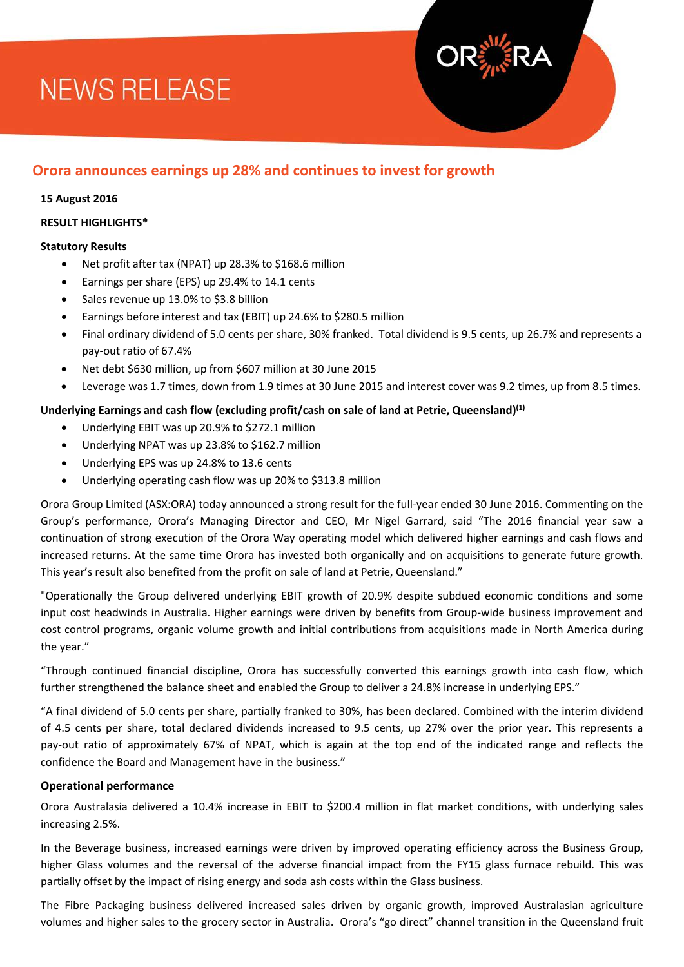# **NEWS RELEASE**

## **Orora announces earnings up 28% and continues to invest for growth**

#### **15 August 2016**

#### **RESULT HIGHLIGHTS\***

## **Statutory Results**

- Net profit after tax (NPAT) up 28.3% to \$168.6 million
- Earnings per share (EPS) up 29.4% to 14.1 cents
- Sales revenue up 13.0% to \$3.8 billion
- Earnings before interest and tax (EBIT) up 24.6% to \$280.5 million
- Final ordinary dividend of 5.0 cents per share, 30% franked. Total dividend is 9.5 cents, up 26.7% and represents a pay-out ratio of 67.4%
- Net debt \$630 million, up from \$607 million at 30 June 2015
- Leverage was 1.7 times, down from 1.9 times at 30 June 2015 and interest cover was 9.2 times, up from 8.5 times.

## **Underlying Earnings and cash flow (excluding profit/cash on sale of land at Petrie, Queensland)(1)**

- Underlying EBIT was up 20.9% to \$272.1 million
- Underlying NPAT was up 23.8% to \$162.7 million
- Underlying EPS was up 24.8% to 13.6 cents
- Underlying operating cash flow was up 20% to \$313.8 million

Orora Group Limited (ASX:ORA) today announced a strong result for the full-year ended 30 June 2016. Commenting on the Group's performance, Orora's Managing Director and CEO, Mr Nigel Garrard, said "The 2016 financial year saw a continuation of strong execution of the Orora Way operating model which delivered higher earnings and cash flows and increased returns. At the same time Orora has invested both organically and on acquisitions to generate future growth. This year's result also benefited from the profit on sale of land at Petrie, Queensland."

"Operationally the Group delivered underlying EBIT growth of 20.9% despite subdued economic conditions and some input cost headwinds in Australia. Higher earnings were driven by benefits from Group-wide business improvement and cost control programs, organic volume growth and initial contributions from acquisitions made in North America during the year."

"Through continued financial discipline, Orora has successfully converted this earnings growth into cash flow, which further strengthened the balance sheet and enabled the Group to deliver a 24.8% increase in underlying EPS."

"A final dividend of 5.0 cents per share, partially franked to 30%, has been declared. Combined with the interim dividend of 4.5 cents per share, total declared dividends increased to 9.5 cents, up 27% over the prior year. This represents a pay-out ratio of approximately 67% of NPAT, which is again at the top end of the indicated range and reflects the confidence the Board and Management have in the business."

#### **Operational performance**

Orora Australasia delivered a 10.4% increase in EBIT to \$200.4 million in flat market conditions, with underlying sales increasing 2.5%.

In the Beverage business, increased earnings were driven by improved operating efficiency across the Business Group, higher Glass volumes and the reversal of the adverse financial impact from the FY15 glass furnace rebuild. This was partially offset by the impact of rising energy and soda ash costs within the Glass business.

The Fibre Packaging business delivered increased sales driven by organic growth, improved Australasian agriculture volumes and higher sales to the grocery sector in Australia. Orora's "go direct" channel transition in the Queensland fruit